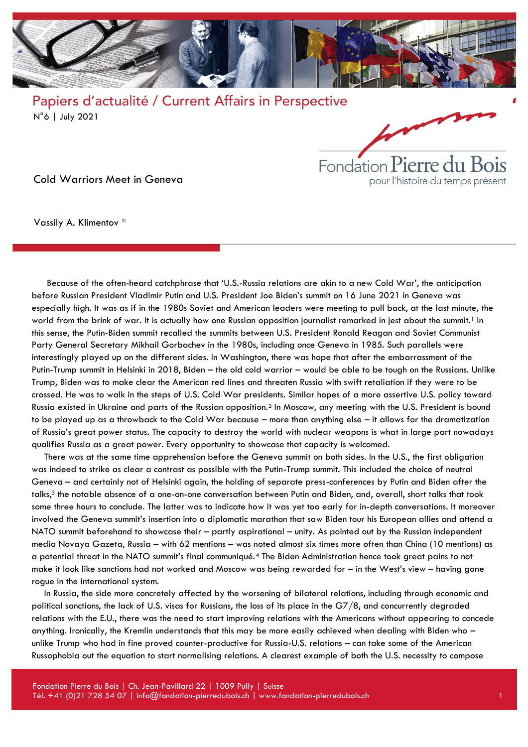



Cold Warriors Meet in Geneva

Vassily A. Klimentov \*

Because of the often-heard catchphrase that 'U.S.-Russia relations are akin to a new Cold War', the anticipation before Russian President Vladimir Putin and U.S. President Joe Biden's summit on 16 June 2021 in Geneva was especially high. It was as if in the 1980s Soviet and American leaders were meeting to pull back, at the last minute, the world from the brink of war. It is actually how one Russian opposition journalist remarked in jest about the summit.<sup>1</sup> In this sense, the Putin-Biden summit recalled the summits between U.S. President Ronald Reagan and Soviet Communist Party General Secretary Mikhail Gorbachev in the 1980s, including once Geneva in 1985. Such parallels were interestingly played up on the different sides. In Washington, there was hope that after the embarrassment of the Putin-Trump summit in Helsinki in 2018, Biden – the old cold warrior – would be able to be tough on the Russians. Unlike Trump, Biden was to make clear the American red lines and threaten Russia with swift retaliation if they were to be crossed. He was to walk in the steps of U.S. Cold War presidents. Similar hopes of a more assertive U.S. policy toward Russia existed in Ukraine and parts of the Russian opposition.<sup>2</sup> In Moscow, any meeting with the U.S. President is bound to be played up as a throwback to the Cold War because – more than anything else – it allows for the dramatization of Russia's great power status. The capacity to destroy the world with nuclear weapons is what in large part nowadays qualifies Russia as a great power. Every opportunity to showcase that capacity is welcomed.

There was at the same time apprehension before the Geneva summit on both sides. In the U.S., the first obligation was indeed to strike as clear a contrast as possible with the Putin-Trump summit. This included the choice of neutral Geneva – and certainly not of Helsinki again, the holding of separate press-conferences by Putin and Biden after the talks,<sup>3</sup> the notable absence of a one-on-one conversation between Putin and Biden, and, overall, short talks that took some three hours to conclude. The latter was to indicate how it was yet too early for in-depth conversations. It moreover involved the Geneva summit's insertion into a diplomatic marathon that saw Biden tour his European allies and attend a NATO summit beforehand to showcase their – partly aspirational – unity. As pointed out by the Russian independent media Novaya Gazeta, Russia – with 62 mentions – was noted almost six times more often than China (10 mentions) as a potential threat in the NATO summit's final communiqué.<sup>4</sup> The Biden Administration hence took great pains to not make it look like sanctions had not worked and Moscow was being rewarded for – in the West's view – having gone rogue in the international system.

In Russia, the side more concretely affected by the worsening of bilateral relations, including through economic and political sanctions, the lack of U.S. visas for Russians, the loss of its place in the G7/8, and concurrently degraded relations with the E.U., there was the need to start improving relations with the Americans without appearing to concede anything. Ironically, the Kremlin understands that this may be more easily achieved when dealing with Biden who – unlike Trump who had in fine proved counter-productive for Russia-U.S. relations – can take some of the American Russophobia out the equation to start normalising relations. A clearest example of both the U.S. necessity to compose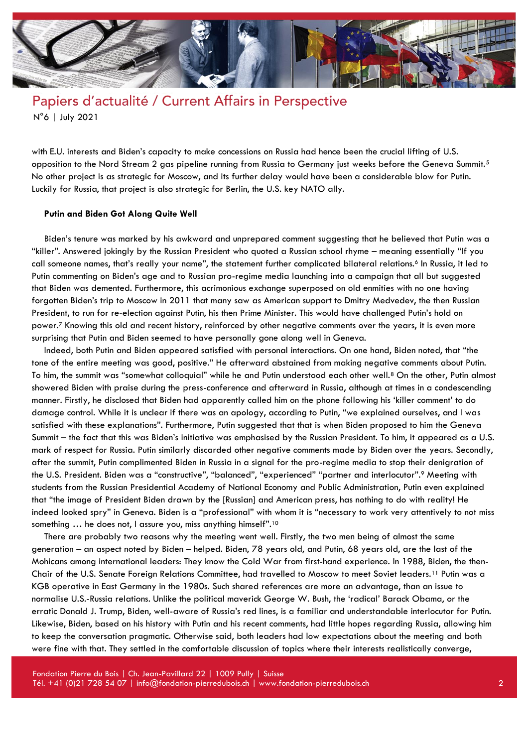

with E.U. interests and Biden's capacity to make concessions on Russia had hence been the crucial lifting of U.S. opposition to the Nord Stream 2 gas pipeline running from Russia to Germany just weeks before the Geneva Summit.<sup>5</sup> No other project is as strategic for Moscow, and its further delay would have been a considerable blow for Putin. Luckily for Russia, that project is also strategic for Berlin, the U.S. key NATO ally.

#### **Putin and Biden Got Along Quite Well**

Biden's tenure was marked by his awkward and unprepared comment suggesting that he believed that Putin was a "killer". Answered jokingly by the Russian President who quoted a Russian school rhyme – meaning essentially "If you call someone names, that's really your name", the statement further complicated bilateral relations.<sup>6</sup> In Russia, it led to Putin commenting on Biden's age and to Russian pro-regime media launching into a campaign that all but suggested that Biden was demented. Furthermore, this acrimonious exchange superposed on old enmities with no one having forgotten Biden's trip to Moscow in 2011 that many saw as American support to Dmitry Medvedev, the then Russian President, to run for re-election against Putin, his then Prime Minister. This would have challenged Putin's hold on power.<sup>7</sup> Knowing this old and recent history, reinforced by other negative comments over the years, it is even more surprising that Putin and Biden seemed to have personally gone along well in Geneva.

Indeed, both Putin and Biden appeared satisfied with personal interactions. On one hand, Biden noted, that "the tone of the entire meeting was good, positive." He afterward abstained from making negative comments about Putin. To him, the summit was "somewhat colloquial" while he and Putin understood each other well.<sup>8</sup> On the other, Putin almost showered Biden with praise during the press-conference and afterward in Russia, although at times in a condescending manner. Firstly, he disclosed that Biden had apparently called him on the phone following his 'killer comment' to do damage control. While it is unclear if there was an apology, according to Putin, "we explained ourselves, and I was satisfied with these explanations". Furthermore, Putin suggested that that is when Biden proposed to him the Geneva Summit – the fact that this was Biden's initiative was emphasised by the Russian President. To him, it appeared as a U.S. mark of respect for Russia. Putin similarly discarded other negative comments made by Biden over the years. Secondly, after the summit, Putin complimented Biden in Russia in a signal for the pro-regime media to stop their denigration of the U.S. President. Biden was a "constructive", "balanced", "experienced" "partner and interlocutor".<sup>9</sup> Meeting with students from the Russian Presidential Academy of National Economy and Public Administration, Putin even explained that "the image of President Biden drawn by the [Russian] and American press, has nothing to do with reality! He indeed looked spry" in Geneva. Biden is a "professional" with whom it is "necessary to work very attentively to not miss something ... he does not, I assure you, miss anything himself".<sup>10</sup>

There are probably two reasons why the meeting went well. Firstly, the two men being of almost the same generation – an aspect noted by Biden – helped. Biden, 78 years old, and Putin, 68 years old, are the last of the Mohicans among international leaders: They know the Cold War from first-hand experience. In 1988, Biden, the then-Chair of the U.S. Senate Foreign Relations Committee, had travelled to Moscow to meet Soviet leaders.<sup>11</sup> Putin was a KGB operative in East Germany in the 1980s. Such shared references are more an advantage, than an issue to normalise U.S.-Russia relations. Unlike the political maverick George W. Bush, the 'radical' Barack Obama, or the erratic Donald J. Trump, Biden, well-aware of Russia's red lines, is a familiar and understandable interlocutor for Putin. Likewise, Biden, based on his history with Putin and his recent comments, had little hopes regarding Russia, allowing him to keep the conversation pragmatic. Otherwise said, both leaders had low expectations about the meeting and both were fine with that. They settled in the comfortable discussion of topics where their interests realistically converge,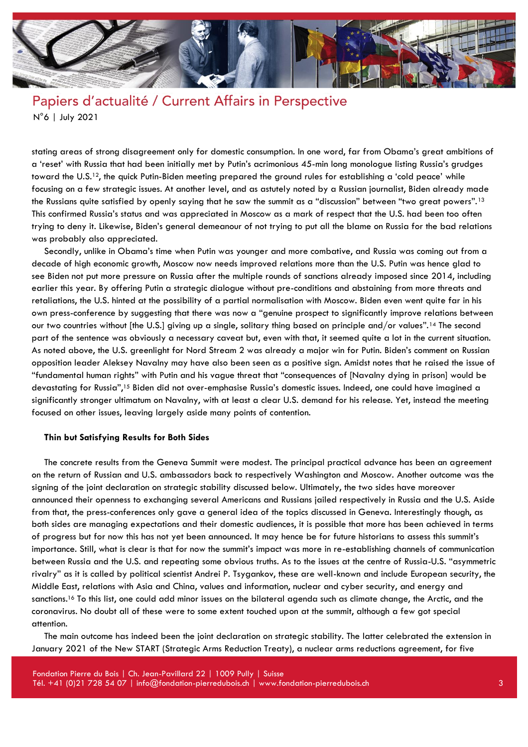

stating areas of strong disagreement only for domestic consumption. In one word, far from Obama's great ambitions of a 'reset' with Russia that had been initially met by Putin's acrimonious 45-min long monologue listing Russia's grudges toward the U.S.12, the quick Putin-Biden meeting prepared the ground rules for establishing a 'cold peace' while focusing on a few strategic issues. At another level, and as astutely noted by a Russian journalist, Biden already made the Russians quite satisfied by openly saying that he saw the summit as a "discussion" between "two great powers".<sup>13</sup> This confirmed Russia's status and was appreciated in Moscow as a mark of respect that the U.S. had been too often trying to deny it. Likewise, Biden's general demeanour of not trying to put all the blame on Russia for the bad relations was probably also appreciated.

Secondly, unlike in Obama's time when Putin was younger and more combative, and Russia was coming out from a decade of high economic growth, Moscow now needs improved relations more than the U.S. Putin was hence glad to see Biden not put more pressure on Russia after the multiple rounds of sanctions already imposed since 2014, including earlier this year. By offering Putin a strategic dialogue without pre-conditions and abstaining from more threats and retaliations, the U.S. hinted at the possibility of a partial normalisation with Moscow. Biden even went quite far in his own press-conference by suggesting that there was now a "genuine prospect to significantly improve relations between our two countries without [the U.S.] giving up a single, solitary thing based on principle and/or values".<sup>14</sup> The second part of the sentence was obviously a necessary caveat but, even with that, it seemed quite a lot in the current situation. As noted above, the U.S. greenlight for Nord Stream 2 was already a major win for Putin. Biden's comment on Russian opposition leader Aleksey Navalny may have also been seen as a positive sign. Amidst notes that he raised the issue of "fundamental human rights" with Putin and his vague threat that "consequences of [Navalny dying in prison] would be devastating for Russia",<sup>15</sup> Biden did not over-emphasise Russia's domestic issues. Indeed, one could have imagined a significantly stronger ultimatum on Navalny, with at least a clear U.S. demand for his release. Yet, instead the meeting focused on other issues, leaving largely aside many points of contention.

#### **Thin but Satisfying Results for Both Sides**

The concrete results from the Geneva Summit were modest. The principal practical advance has been an agreement on the return of Russian and U.S. ambassadors back to respectively Washington and Moscow. Another outcome was the signing of the joint declaration on strategic stability discussed below. Ultimately, the two sides have moreover announced their openness to exchanging several Americans and Russians jailed respectively in Russia and the U.S. Aside from that, the press-conferences only gave a general idea of the topics discussed in Geneva. Interestingly though, as both sides are managing expectations and their domestic audiences, it is possible that more has been achieved in terms of progress but for now this has not yet been announced. It may hence be for future historians to assess this summit's importance. Still, what is clear is that for now the summit's impact was more in re-establishing channels of communication between Russia and the U.S. and repeating some obvious truths. As to the issues at the centre of Russia-U.S. "asymmetric rivalry" as it is called by political scientist Andrei P. Tsygankov, these are well-known and include European security, the Middle East, relations with Asia and China, values and information, nuclear and cyber security, and energy and sanctions.<sup>16</sup> To this list, one could add minor issues on the bilateral agenda such as climate change, the Arctic, and the coronavirus. No doubt all of these were to some extent touched upon at the summit, although a few got special attention.

The main outcome has indeed been the joint declaration on strategic stability. The latter celebrated the extension in January 2021 of the New START (Strategic Arms Reduction Treaty), a nuclear arms reductions agreement, for five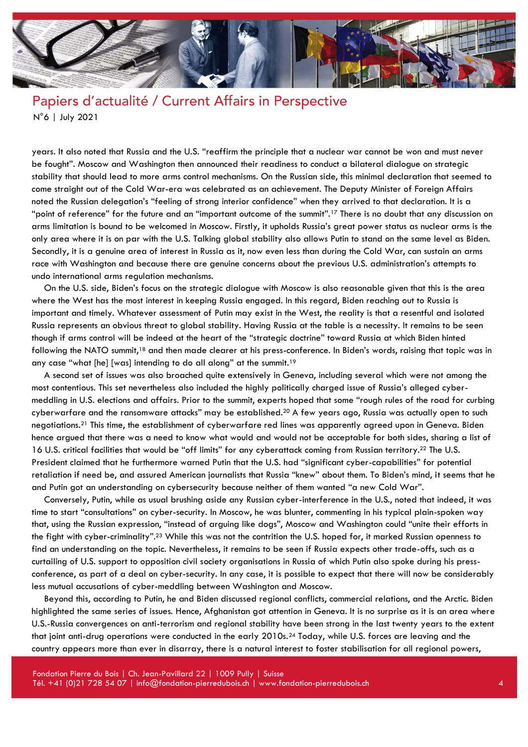

years. It also noted that Russia and the U.S. "reaffirm the principle that a nuclear war cannot be won and must never be fought". Moscow and Washington then announced their readiness to conduct a bilateral dialogue on strategic stability that should lead to more arms control mechanisms. On the Russian side, this minimal declaration that seemed to come straight out of the Cold War-era was celebrated as an achievement. The Deputy Minister of Foreign Affairs noted the Russian delegation's "feeling of strong interior confidence" when they arrived to that declaration. It is a "point of reference" for the future and an "important outcome of the summit".<sup>17</sup> There is no doubt that any discussion on arms limitation is bound to be welcomed in Moscow. Firstly, it upholds Russia's great power status as nuclear arms is the only area where it is on par with the U.S. Talking global stability also allows Putin to stand on the same level as Biden. Secondly, it is a genuine area of interest in Russia as it, now even less than during the Cold War, can sustain an arms race with Washington and because there are genuine concerns about the previous U.S. administration's attempts to undo international arms regulation mechanisms.

On the U.S. side, Biden's focus on the strategic dialogue with Moscow is also reasonable given that this is the area where the West has the most interest in keeping Russia engaged. In this regard, Biden reaching out to Russia is important and timely. Whatever assessment of Putin may exist in the West, the reality is that a resentful and isolated Russia represents an obvious threat to global stability. Having Russia at the table is a necessity. It remains to be seen though if arms control will be indeed at the heart of the "strategic doctrine" toward Russia at which Biden hinted following the NATO summit,<sup>18</sup> and then made clearer at his press-conference. In Biden's words, raising that topic was in any case "what [he] [was] intending to do all along" at the summit.<sup>19</sup>

A second set of issues was also broached quite extensively in Geneva, including several which were not among the most contentious. This set nevertheless also included the highly politically charged issue of Russia's alleged cybermeddling in U.S. elections and affairs. Prior to the summit, experts hoped that some "rough rules of the road for curbing cyberwarfare and the ransomware attacks" may be established.<sup>20</sup> A few years ago, Russia was actually open to such negotiations.<sup>21</sup> This time, the establishment of cyberwarfare red lines was apparently agreed upon in Geneva. Biden hence argued that there was a need to know what would and would not be acceptable for both sides, sharing a list of 16 U.S. critical facilities that would be "off limits" for any cyberattack coming from Russian territory.<sup>22</sup> The U.S. President claimed that he furthermore warned Putin that the U.S. had "significant cyber-capabilities" for potential retaliation if need be, and assured American journalists that Russia "knew" about them. To Biden's mind, it seems that he and Putin got an understanding on cybersecurity because neither of them wanted "a new Cold War".

Conversely, Putin, while as usual brushing aside any Russian cyber-interference in the U.S., noted that indeed, it was time to start "consultations" on cyber-security. In Moscow, he was blunter, commenting in his typical plain-spoken way that, using the Russian expression, "instead of arguing like dogs", Moscow and Washington could "unite their efforts in the fight with cyber-criminality".<sup>23</sup> While this was not the contrition the U.S. hoped for, it marked Russian openness to find an understanding on the topic. Nevertheless, it remains to be seen if Russia expects other trade-offs, such as a curtailing of U.S. support to opposition civil society organisations in Russia of which Putin also spoke during his pressconference, as part of a deal on cyber-security. In any case, it is possible to expect that there will now be considerably less mutual accusations of cyber-meddling between Washington and Moscow.

Beyond this, according to Putin, he and Biden discussed regional conflicts, commercial relations, and the Arctic. Biden highlighted the same series of issues. Hence, Afghanistan got attention in Geneva. It is no surprise as it is an area where U.S.-Russia convergences on anti-terrorism and regional stability have been strong in the last twenty years to the extent that joint anti-drug operations were conducted in the early 2010s.<sup>24</sup> Today, while U.S. forces are leaving and the country appears more than ever in disarray, there is a natural interest to foster stabilisation for all regional powers,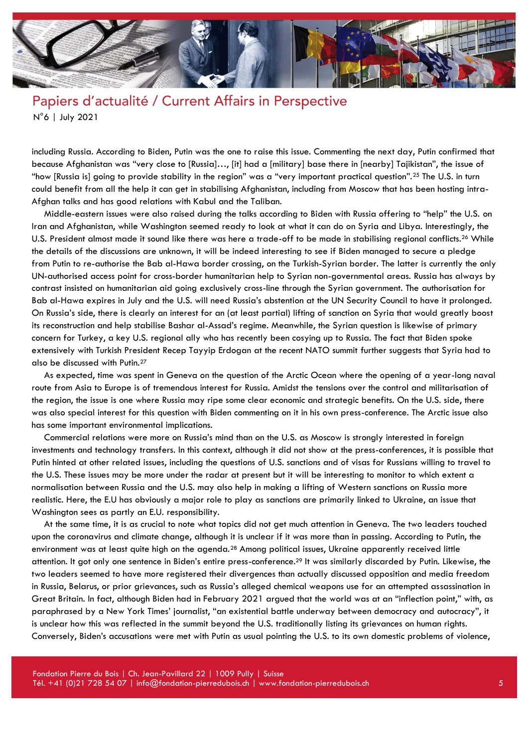

including Russia. According to Biden, Putin was the one to raise this issue. Commenting the next day, Putin confirmed that because Afghanistan was "very close to [Russia]…, [it] had a [military] base there in [nearby] Tajikistan", the issue of "how [Russia is] going to provide stability in the region" was a "very important practical question".<sup>25</sup> The U.S. in turn could benefit from all the help it can get in stabilising Afghanistan, including from Moscow that has been hosting intra-Afghan talks and has good relations with Kabul and the Taliban.

Middle-eastern issues were also raised during the talks according to Biden with Russia offering to "help" the U.S. on Iran and Afghanistan, while Washington seemed ready to look at what it can do on Syria and Libya. Interestingly, the U.S. President almost made it sound like there was here a trade-off to be made in stabilising regional conflicts.<sup>26</sup> While the details of the discussions are unknown, it will be indeed interesting to see if Biden managed to secure a pledge from Putin to re-authorise the Bab al-Hawa border crossing, on the Turkish-Syrian border. The latter is currently the only UN-authorised access point for cross-border humanitarian help to Syrian non-governmental areas. Russia has always by contrast insisted on humanitarian aid going exclusively cross-line through the Syrian government. The authorisation for Bab al-Hawa expires in July and the U.S. will need Russia's abstention at the UN Security Council to have it prolonged. On Russia's side, there is clearly an interest for an (at least partial) lifting of sanction on Syria that would greatly boost its reconstruction and help stabilise Bashar al-Assad's regime. Meanwhile, the Syrian question is likewise of primary concern for Turkey, a key U.S. regional ally who has recently been cosying up to Russia. The fact that Biden spoke extensively with Turkish President Recep Tayyip Erdogan at the recent NATO summit further suggests that Syria had to also be discussed with Putin.<sup>27</sup>

As expected, time was spent in Geneva on the question of the Arctic Ocean where the opening of a year-long naval route from Asia to Europe is of tremendous interest for Russia. Amidst the tensions over the control and militarisation of the region, the issue is one where Russia may ripe some clear economic and strategic benefits. On the U.S. side, there was also special interest for this question with Biden commenting on it in his own press-conference. The Arctic issue also has some important environmental implications.

Commercial relations were more on Russia's mind than on the U.S. as Moscow is strongly interested in foreign investments and technology transfers. In this context, although it did not show at the press-conferences, it is possible that Putin hinted at other related issues, including the questions of U.S. sanctions and of visas for Russians willing to travel to the U.S. These issues may be more under the radar at present but it will be interesting to monitor to which extent a normalisation between Russia and the U.S. may also help in making a lifting of Western sanctions on Russia more realistic. Here, the E.U has obviously a major role to play as sanctions are primarily linked to Ukraine, an issue that Washington sees as partly an E.U. responsibility.

At the same time, it is as crucial to note what topics did not get much attention in Geneva. The two leaders touched upon the coronavirus and climate change, although it is unclear if it was more than in passing. According to Putin, the environment was at least quite high on the agenda.<sup>28</sup> Among political issues, Ukraine apparently received little attention. It got only one sentence in Biden's entire press-conference.<sup>29</sup> It was similarly discarded by Putin. Likewise, the two leaders seemed to have more registered their divergences than actually discussed opposition and media freedom in Russia, Belarus, or prior grievances, such as Russia's alleged chemical weapons use for an attempted assassination in Great Britain. In fact, although Biden had in February 2021 argued that the world was at an "inflection point," with, as paraphrased by a New York Times' journalist, "an existential battle underway between democracy and autocracy", it is unclear how this was reflected in the summit beyond the U.S. traditionally listing its grievances on human rights. Conversely, Biden's accusations were met with Putin as usual pointing the U.S. to its own domestic problems of violence,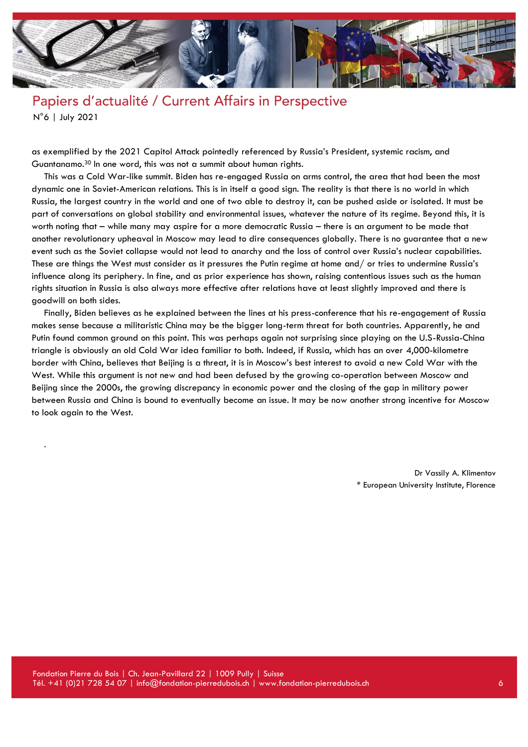

as exemplified by the 2021 Capitol Attack pointedly referenced by Russia's President, systemic racism, and Guantanamo.<sup>30</sup> In one word, this was not a summit about human rights.

This was a Cold War-like summit. Biden has re-engaged Russia on arms control, the area that had been the most dynamic one in Soviet-American relations. This is in itself a good sign. The reality is that there is no world in which Russia, the largest country in the world and one of two able to destroy it, can be pushed aside or isolated. It must be part of conversations on global stability and environmental issues, whatever the nature of its regime. Beyond this, it is worth noting that – while many may aspire for a more democratic Russia – there is an argument to be made that another revolutionary upheaval in Moscow may lead to dire consequences globally. There is no guarantee that a new event such as the Soviet collapse would not lead to anarchy and the loss of control over Russia's nuclear capabilities. These are things the West must consider as it pressures the Putin regime at home and/ or tries to undermine Russia's influence along its periphery. In fine, and as prior experience has shown, raising contentious issues such as the human rights situation in Russia is also always more effective after relations have at least slightly improved and there is goodwill on both sides.

Finally, Biden believes as he explained between the lines at his press-conference that his re-engagement of Russia makes sense because a militaristic China may be the bigger long-term threat for both countries. Apparently, he and Putin found common ground on this point. This was perhaps again not surprising since playing on the U.S-Russia-China triangle is obviously an old Cold War idea familiar to both. Indeed, if Russia, which has an over 4,000-kilometre border with China, believes that Beijing is a threat, it is in Moscow's best interest to avoid a new Cold War with the West. While this argument is not new and had been defused by the growing co-operation between Moscow and Beijing since the 2000s, the growing discrepancy in economic power and the closing of the gap in military power between Russia and China is bound to eventually become an issue. It may be now another strong incentive for Moscow to look again to the West.

> Dr Vassily A. Klimentov \* European University Institute, Florence

.